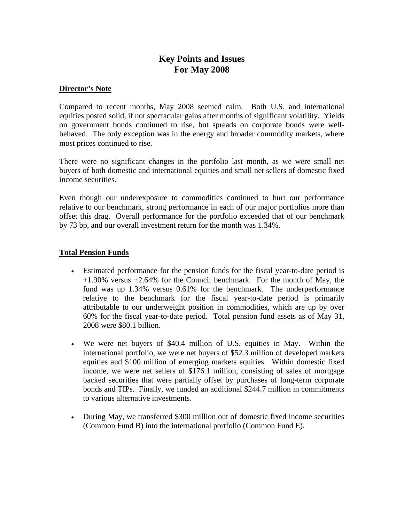# **Key Points and Issues For May 2008**

#### **Director's Note**

Compared to recent months, May 2008 seemed calm. Both U.S. and international equities posted solid, if not spectacular gains after months of significant volatility. Yields on government bonds continued to rise, but spreads on corporate bonds were wellbehaved. The only exception was in the energy and broader commodity markets, where most prices continued to rise.

There were no significant changes in the portfolio last month, as we were small net buyers of both domestic and international equities and small net sellers of domestic fixed income securities.

Even though our underexposure to commodities continued to hurt our performance relative to our benchmark, strong performance in each of our major portfolios more than offset this drag. Overall performance for the portfolio exceeded that of our benchmark by 73 bp, and our overall investment return for the month was 1.34%.

### **Total Pension Funds**

- Estimated performance for the pension funds for the fiscal year-to-date period is  $+1.90\%$  versus  $+2.64\%$  for the Council benchmark. For the month of May, the fund was up 1.34% versus 0.61% for the benchmark. The underperformance relative to the benchmark for the fiscal year-to-date period is primarily attributable to our underweight position in commodities, which are up by over 60% for the fiscal year-to-date period. Total pension fund assets as of May 31, 2008 were \$80.1 billion.
- We were net buyers of \$40.4 million of U.S. equities in May. Within the international portfolio, we were net buyers of \$52.3 million of developed markets equities and \$100 million of emerging markets equities. Within domestic fixed income, we were net sellers of \$176.1 million, consisting of sales of mortgage backed securities that were partially offset by purchases of long-term corporate bonds and TIPs. Finally, we funded an additional \$244.7 million in commitments to various alternative investments.
- During May, we transferred \$300 million out of domestic fixed income securities (Common Fund B) into the international portfolio (Common Fund E).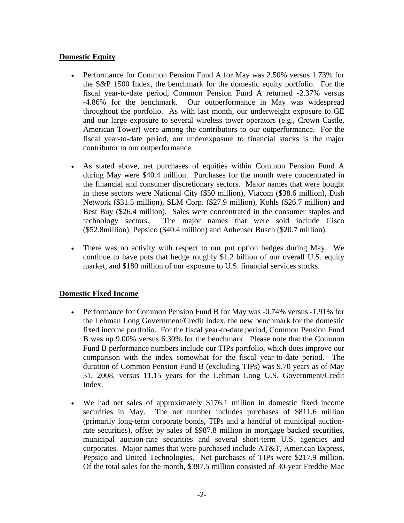# **Domestic Equity**

- Performance for Common Pension Fund A for May was 2.50% versus 1.73% for the S&P 1500 Index, the benchmark for the domestic equity portfolio. For the fiscal year-to-date period, Common Pension Fund A returned -2.37% versus -4.86% for the benchmark. Our outperformance in May was widespread throughout the portfolio. As with last month, our underweight exposure to GE and our large exposure to several wireless tower operators (e.g., Crown Castle, American Tower) were among the contributors to our outperformance. For the fiscal year-to-date period, our underexposure to financial stocks is the major contributor to our outperformance.
- As stated above, net purchases of equities within Common Pension Fund A during May were \$40.4 million. Purchases for the month were concentrated in the financial and consumer discretionary sectors. Major names that were bought in these sectors were National City (\$50 million), Viacom (\$38.6 million), Dish Network (\$31.5 million), SLM Corp. (\$27.9 million), Kohls (\$26.7 million) and Best Buy (\$26.4 million). Sales were concentrated in the consumer staples and technology sectors. The major names that were sold include Cisco (\$52.8million), Pepsico (\$40.4 million) and Anheuser Busch (\$20.7 million).
- There was no activity with respect to our put option hedges during May. We continue to have puts that hedge roughly \$1.2 billion of our overall U.S. equity market, and \$180 million of our exposure to U.S. financial services stocks.

# **Domestic Fixed Income**

- Performance for Common Pension Fund B for May was -0.74% versus -1.91% for the Lehman Long Government/Credit Index, the new benchmark for the domestic fixed income portfolio. For the fiscal year-to-date period, Common Pension Fund B was up 9.00% versus 6.30% for the benchmark. Please note that the Common Fund B performance numbers include our TIPs portfolio, which does improve our comparison with the index somewhat for the fiscal year-to-date period. The duration of Common Pension Fund B (excluding TIPs) was 9.70 years as of May 31, 2008, versus 11.15 years for the Lehman Long U.S. Government/Credit Index.
- We had net sales of approximately \$176.1 million in domestic fixed income securities in May. The net number includes purchases of \$811.6 million (primarily long-term corporate bonds, TIPs and a handful of municipal auctionrate securities), offset by sales of \$987.8 million in mortgage backed securities, municipal auction-rate securities and several short-term U.S. agencies and corporates. Major names that were purchased include AT&T, American Express, Pepsico and United Technologies. Net purchases of TIPs were \$217.9 million. Of the total sales for the month, \$387.5 million consisted of 30-year Freddie Mac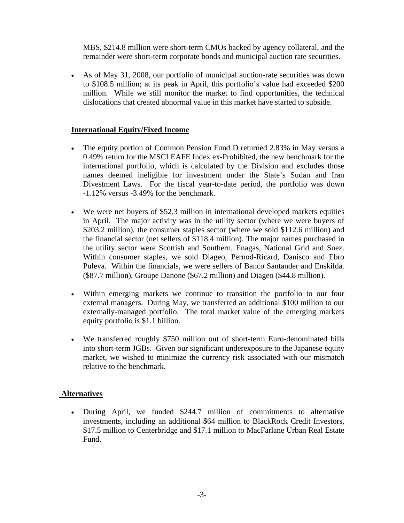MBS, \$214.8 million were short-term CMOs backed by agency collateral, and the remainder were short-term corporate bonds and municipal auction rate securities.

• As of May 31, 2008, our portfolio of municipal auction-rate securities was down to \$108.5 million; at its peak in April, this portfolio's value had exceeded \$200 million. While we still monitor the market to find opportunities, the technical dislocations that created abnormal value in this market have started to subside.

# **International Equity/Fixed Income**

- The equity portion of Common Pension Fund D returned 2.83% in May versus a 0.49% return for the MSCI EAFE Index ex-Prohibited, the new benchmark for the international portfolio, which is calculated by the Division and excludes those names deemed ineligible for investment under the State's Sudan and Iran Divestment Laws. For the fiscal year-to-date period, the portfolio was down -1.12% versus -3.49% for the benchmark.
- We were net buyers of \$52.3 million in international developed markets equities in April. The major activity was in the utility sector (where we were buyers of \$203.2 million), the consumer staples sector (where we sold \$112.6 million) and the financial sector (net sellers of \$118.4 million). The major names purchased in the utility sector were Scottish and Southern, Enagas, National Grid and Suez. Within consumer staples, we sold Diageo, Pernod-Ricard, Danisco and Ebro Puleva. Within the financials, we were sellers of Banco Santander and Enskilda. (\$87.7 million), Groupe Danone (\$67.2 million) and Diageo (\$44.8 million).
- Within emerging markets we continue to transition the portfolio to our four external managers. During May, we transferred an additional \$100 million to our externally-managed portfolio. The total market value of the emerging markets equity portfolio is \$1.1 billion.
- We transferred roughly \$750 million out of short-term Euro-denominated bills into short-term JGBs. Given our significant underexposure to the Japanese equity market, we wished to minimize the currency risk associated with our mismatch relative to the benchmark.

# **Alternatives**

• During April, we funded \$244.7 million of commitments to alternative investments, including an additional \$64 million to BlackRock Credit Investors, \$17.5 million to Centerbridge and \$17.1 million to MacFarlane Urban Real Estate Fund.